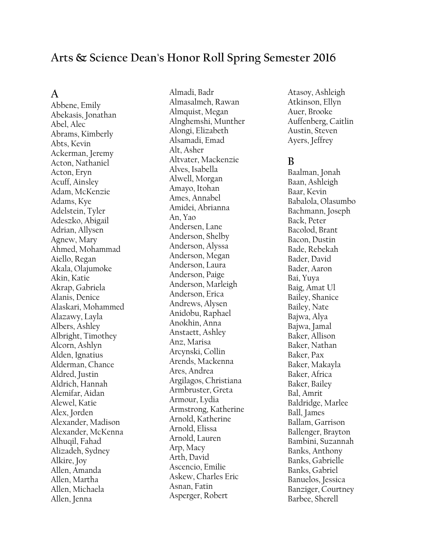## **Arts & Science Dean's Honor Roll Spring Semester 2016**

#### **A**

Abbene, Emily Abekasis, Jonathan Abel, Alec Abrams, Kimberly Abts, Kevin Ackerman, Jeremy Acton, Nathaniel Acton, Eryn Acuff, Ainsley Adam, McKenzie Adams, Kye Adelstein, Tyler Adeszko, Abigail Adrian, Allysen Agnew, Mary Ahmed, Mohammad Aiello, Regan Akala, Olajumoke Akin, Katie Akrap, Gabriela Alanis, Denice Alaskari, Mohammed Alazawy, Layla Albers, Ashley Albright, Timothey Alcorn, Ashlyn Alden, Ignatius Alderman, Chance Aldred, Justin Aldrich, Hannah Alemifar, Aidan Alewel, Katie Alex, Jorden Alexander, Madison Alexander, McKenna Alhuqil, Fahad Alizadeh, Sydney Alkire, Joy Allen, Amanda Allen, Martha Allen, Michaela Allen, Jenna

Almadi, Badr Almasalmeh, Rawan Almquist, Megan Alnghemshi, Munther Alongi, Elizabeth Alsamadi, Emad Alt, Asher Altvater, Mackenzie Alves, Isabella Alwell, Morgan Amayo, Itohan Ames, Annabel Amidei, Abrianna An, Yao Andersen, Lane Anderson, Shelby Anderson, Alyssa Anderson, Megan Anderson, Laura Anderson, Paige Anderson, Marleigh Anderson, Erica Andrews, Alysen Anidobu, Raphael Anokhin, Anna Anstaett, Ashley Anz, Marisa Arcynski, Collin Arends, Mackenna Ares, Andrea Argilagos, Christiana Armbruster, Greta Armour, Lydia Armstrong, Katherine Arnold, Katherine Arnold, Elissa Arnold, Lauren Arp, Macy Arth, David Ascencio, Emilie Askew, Charles Eric Asnan, Fatin Asperger, Robert

Atasoy, Ashleigh Atkinson, Ellyn Auer, Brooke Auffenberg, Caitlin Austin, Steven Ayers, Jeffrey

#### **B**

Baalman, Jonah Baan, Ashleigh Baar, Kevin Babalola, Olasumbo Bachmann, Joseph Back, Peter Bacolod, Brant Bacon, Dustin Bade, Rebekah Bader, David Bader, Aaron Bai, Yuya Baig, Amat Ul Bailey, Shanice Bailey, Nate Bajwa, Alya Bajwa, Jamal Baker, Allison Baker, Nathan Baker, Pax Baker, Makayla Baker, Africa Baker, Bailey Bal, Amrit Baldridge, Marlee Ball, James Ballam, Garrison Ballenger, Brayton Bambini, Suzannah Banks, Anthony Banks, Gabrielle Banks, Gabriel Banuelos, Jessica Banziger, Courtney Barbee, Sherell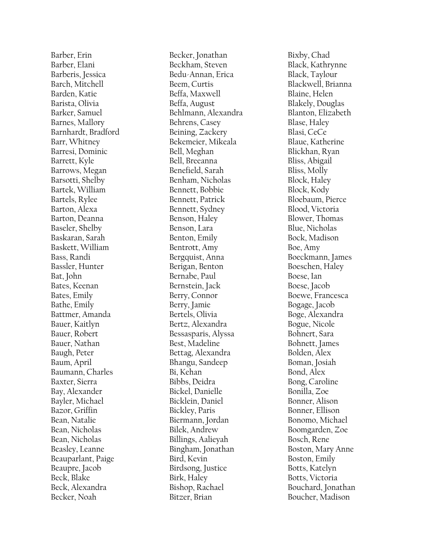Barber, Erin Barber, Elani Barberis, Jessica Barch, Mitchell Barden, Katie Barista, Olivia Barker, Samuel Barnes, Mallory Barnhardt, Bradford Barr, Whitney Barresi, Dominic Barrett, Kyle Barrows, Megan Barsotti, Shelby Bartek, William Bartels, Rylee Barton, Alexa Barton, Deanna Baseler, Shelby Baskaran, Sarah Baskett, William Bass, Randi Bassler, Hunter Bat, John Bates, Keenan Bates, Emily Bathe, Emily Battmer, Amanda Bauer, Kaitlyn Bauer, Robert Bauer, Nathan Baugh, Peter Baum, April Baumann, Charles Baxter, Sierra Bay, Alexander Bayler, Michael Bazor, Griffin Bean, Natalie Bean, Nicholas Bean, Nicholas Beasley, Leanne Beauparlant, Paige Beaupre, Jacob Beck, Blake Beck, Alexandra Becker, Noah

Becker, Jonathan Beckham, Steven Bedu -Annan, Erica Beem, Curtis Beffa, Maxwell Beffa, August Behlmann, Alexandra Behrens, Casey Beining, Zackery Bekemeier, Mikeala Bell, Meghan Bell, Breeanna Benefield, Sarah Benham, Nicholas Bennett, Bobbie Bennett, Patrick Bennett, Sydney Benson, Haley Benson, Lara Benton, Emily Bentrott, Amy Bergquist, Anna Berigan, Benton Bernabe, Paul Bernstein, Jack Berry, Connor Berry, Jamie Bertels, Olivia Bertz, Alexandra Bessasparis, Alyssa Best, Madeline Bettag, Alexandra Bhangu, Sandeep Bi, Kehan Bibbs, Deidra Bickel, Danielle Bicklein, Daniel Bickley, Paris Biermann, Jordan Bilek, Andrew Billings, Aalieyah Bingham, Jonathan Bird, Kevin Birdsong, Justice Birk, Haley Bishop, Rachael Bitzer, Brian

Bixby, Chad Black, Kathrynne Black, Taylour Blackwell, Brianna Blaine, Helen Blakely, Douglas Blanton, Elizabeth Blase, Haley Blasi, CeCe Blaue, Katherine Blickhan, Ryan Bliss, Abigail Bliss, Molly Block, Haley Block, Kody Bloebaum, Pierce Blood, Victoria Blower, Thomas Blue, Nicholas Bock, Madison Boe, Amy Boeckmann, James Boeschen, Haley Boese, Ian Boese, Jacob Boewe, Francesca Bogage, Jacob Boge, Alexandra Bogue, Nicole Bohnert, Sara Bohnett, James Bolden, Alex Boman, Josiah Bond, Alex Bong, Caroline Bonilla, Zoe Bonner, Alison Bonner, Ellison Bonomo, Michael Boomgarden, Zoe Bosch, Rene Boston, Mary Anne Boston, Emily Botts, Katelyn Botts, Victoria Bouchard, Jonathan Boucher, Madison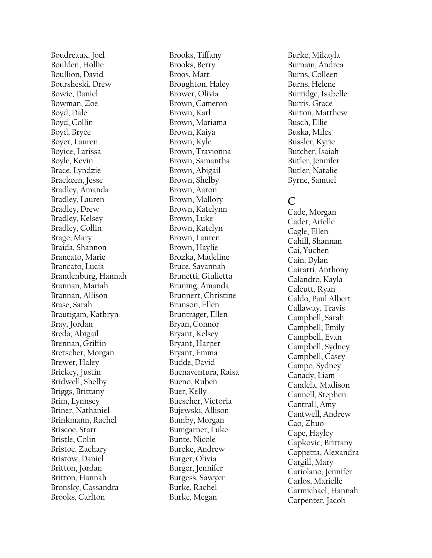Boudreaux, Joel Boulden, Hollie Boullion, David Boursheski, Drew Bowie, Daniel Bowman, Zoe Boyd, Dale Boyd, Collin Boyd, Bryce Boyer, Lauren Boyice, Larissa Boyle, Kevin Brace, Lyndzie Brackeen, Jesse Bradley, Amanda Bradley, Lauren Bradley, Drew Bradley, Kelsey Bradley, Collin Brage, Mary Braida, Shannon Brancato, Marie Brancato, Lucia Brandenburg, Hannah Brannan, Mariah Brannan, Allison Brase, Sarah Brautigam, Kathryn Bray, Jordan Breda, Abigail Brennan, Griffin Bretscher, Morgan Brewer, Haley Brickey, Justin Bridwell, Shelby Briggs, Brittany Brim, Lynnsey Briner, Nathaniel Brinkmann, Rachel Briscoe, Starr Bristle, Colin Bristoe, Zachary Bristow, Daniel Britton, Jordan Britton, Hannah Bronsky, Cassandra Brooks, Carlton

Brooks, Tiffany Brooks, Berry Broos, Matt Broughton, Haley Brower, Olivia Brown, Cameron Brown, Karl Brown, Mariama Brown, Kaiya Brown, Kyle Brown, Travionna Brown, Samantha Brown, Abigail Brown, Shelby Brown, Aaron Brown, Mallory Brown, Katelynn Brown, Luke Brown, Katelyn Brown, Lauren Brown, Haylie Brozka, Madeline Bruce, Savannah Brunetti, Giulietta Bruning, Amanda Brunnert, Christine Brunson, Ellen Bruntrager, Ellen Bryan, Connor Bryant, Kelsey Bryant, Harper Bryant, Emma Budde, David Buenaventura, Raisa Bueno, Ruben Buer, Kelly Buescher, Victoria Bujewski, Allison Bumby, Morgan Bumgarner, Luke Bunte, Nicole Burcke, Andrew Burger, Olivia Burger, Jennifer Burgess, Sawyer Burke, Rachel Burke, Megan

Burke, Mikayla Burnam, Andrea Burns, Colleen Burns, Helene Burridge, Isabelle Burris, Grace Burton, Matthew Busch, Ellie Buska, Miles Bussler, Kyrie Butcher, Isaiah Butler, Jennifer Butler, Natalie Byrne, Samuel

#### **C**

Cade, Morgan Cadet, Arielle Cagle, Ellen Cahill, Shannan Cai, Yuchen Cain, Dylan Cairatti, Anthony Calandro, Kayla Calcutt, Ryan Caldo, Paul Albert Callaway, Travis Campbell, Sarah Campbell, Emily Campbell, Evan Campbell, Sydney Campbell, Casey Campo, Sydney Canady, Liam Candela, Madison Cannell, Stephen Cantrall, Amy Cantwell, Andrew Cao, Zhuo Cape, Hayley Capkovic, Brittany Cappetta, Alexandra Cargill, Mary Cariolano, Jennifer Carlos, Marielle Carmichael, Hannah Carpenter, Jacob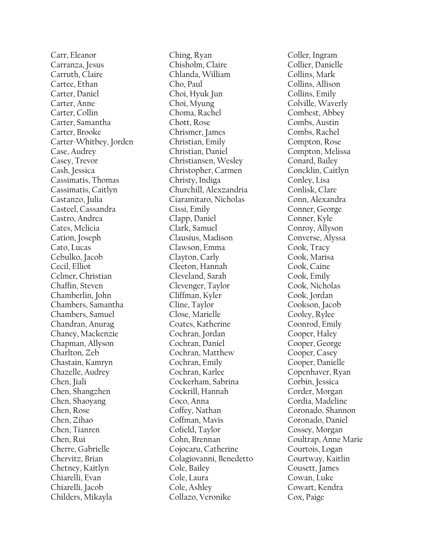Carr, Eleanor Carranza, Jesus Carruth, Claire Cartee, Ethan Carter, Daniel Carter, Anne Carter, Collin Carter, Samantha Carter, Brooke Carter -Whitbey, Jorden Case, Audrey Casey, Trevor Cash, Jessica Cassimatis, Thomas Cassimatis, Caitlyn Castanzo, Julia Casteel, Cassandra Castro, Andrea Cates, Melicia Cation, Joseph Cato, Lucas Cebulko, Jacob Cecil, Elliot Celmer, Christian Chaffin, Steven Chamberlin, John Chambers, Samantha Chambers, Samuel Chandran, Anurag Chaney, Mackenzie Chapman, Allyson Charlton, Zeb Chastain, Kamryn Chazelle, Audrey Chen, Jiali Chen, Shangzhen Chen, Shaoyang Chen, Rose Chen, Zihao Chen, Tianren Chen, Rui Cherre, Gabrielle Chervitz, Brian Chetney, Kaitlyn Chiarelli, Evan Chiarelli, Jacob Childers, Mikayla

Ching, Ryan Chisholm, Claire Chlanda, William Cho, Paul Choi, Hyuk Jun Choi, Myung Choma, Rachel Chott, Rose Chrismer, James Christian, Emily Christian, Daniel Christiansen, Wesley Christopher, Carmen Christy, Indiga Churchill, Alexzandria Ciaramitaro, Nicholas Cissi, Emily Clapp, Daniel Clark, Samuel Clausius, Madison Clawson, Emma Clayton, Carly Cleeton, Hannah Cleveland, Sarah Clevenger, Taylor Cliffman, Kyler Cline, Taylor Close, Marielle Coates, Katherine Cochran, Jordan Cochran, Daniel Cochran, Matthew Cochran, Emily Cochran, Karlee Cockerham, Sabrina Cockrill, Hannah Coco, Anna Coffey, Nathan Coffman, Mavis Cofield, Taylor Cohn, Brennan Cojocaru, Catherine Colagiovanni, Benedetto Cole, Bailey Cole, Laura Cole, Ashley Collazo, Veronike

Coller, Ingram Collier, Danielle Collins, Mark Collins, Allison Collins, Emily Colville, Waverly Combest, Abbey Combs, Austin Combs, Rachel Compton, Rose Compton, Melissa Conard, Bailey Concklin, Caitlyn Conley, Lisa Conlisk, Clare Conn, Alexandra Conner, George Conner, Kyle Conroy, Allyson Converse, Alyssa Cook, Tracy Cook, Marisa Cook, Caine Cook, Emily Cook, Nicholas Cook, Jordan Cookson, Jacob Cooley, Rylee Coonrod, Emily Cooper, Haley Cooper, George Cooper, Casey Cooper, Danielle Copenhaver, Ryan Corbin, Jessica Corder, Morgan Cordia, Madeline Coronado, Shannon Coronado, Daniel Cossey, Morgan Coultrap, Anne Marie Courtois, Logan Courtway, Kaitlin Cousett, James Cowan, Luke Cowart, Kendra Cox, Paige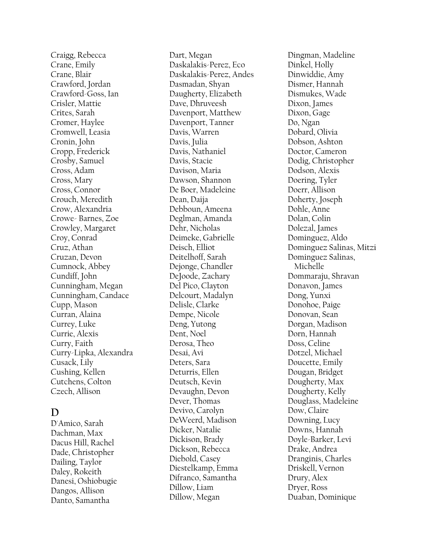Craigg, Rebecca Crane, Emily Crane, Blair Crawford, Jordan Crawford -Goss, Ian Crisler, Mattie Crites, Sarah Cromer, Haylee Cromwell, Leasia Cronin, John Cropp, Frederick Crosby, Samuel Cross, Adam Cross, Mary Cross, Connor Crouch, Meredith Crow, Alexandria Crowe - Barnes, Zoe Crowley, Margaret Croy, Conrad Cruz, Athan Cruzan, Devon Cumnock, Abbey Cundiff, John Cunningham, Megan Cunningham, Candace Cupp, Mason Curran, Alaina Currey, Luke Currie, Alexis Curry, Faith Curry -Lipka, Alexandra Cusack, Lily Cushing, Kellen Cutchens, Colton Czech, Allison

# **D**

D'Amico, Sarah Dachman, Max Dacus Hill, Rachel Dade, Christopher Dailing, Taylor Daley, Rokeith Danesi, Oshiobugie Dangos, Allison Danto, Samantha

Dart, Megan Daskalakis -Perez, Eco Daskalakis -Perez, Andes Dasmadan, Shyan Daugherty, Elizabeth Dave, Dhruveesh Davenport, Matthew Davenport, Tanner Davis, Warren Davis, Julia Davis, Nathaniel Davis, Stacie Davison, Maria Dawson, Shannon De Boer, Madeleine Dean, Daija Debboun, Ameena Deglman, Amanda Dehr, Nicholas Deimeke, Gabrielle Deisch, Elliot Deitelhoff, Sarah Dejonge, Chandler DeJoode, Zachary Del Pico, Clayton Delcourt, Madalyn Delisle, Clarke Dempe, Nicole Deng, Yutong Dent, Noel Derosa, Theo Desai, Avi Deters, Sara Deturris, Ellen Deutsch, Kevin Devaughn, Devon Dever, Thomas Devivo, Carolyn DeWeerd, Madison Dicker, Natalie Dickison, Brady Dickson, Rebecca Diebold, Casey Diestelkamp, Emma Difranco, Samantha Dillow, Liam Dillow, Megan

Dingman, Madeline Dinkel, Holly Dinwiddie, Amy Dismer, Hannah Dismukes, Wade Dixon, James Dixon, Gage Do, Ngan Dobard, Olivia Dobson, Ashton Doctor, Cameron Dodig, Christopher Dodson, Alexis Doering, Tyler Doerr, Allison Doherty, Joseph Dohle, Anne Dolan, Colin Dolezal, James Dominguez, Aldo Dominguez Salinas, Mitzi Dominguez Salinas, Michelle Dommaraju, Shravan Donavon, James Dong, Yunxi Donohoe, Paige Donovan, Sean Dorgan, Madison Dorn, Hannah Doss, Celine Dotzel, Michael Doucette, Emily Dougan, Bridget Dougherty, Max Dougherty, Kelly Douglass, Madeleine Dow, Claire Downing, Lucy Downs, Hannah Doyle -Barker, Levi Drake, Andrea Dranginis, Charles Driskell, Vernon Drury, Alex Dryer, Ross Duaban, Dominique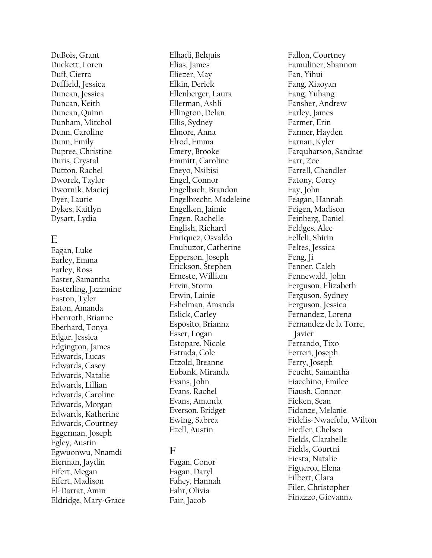DuBois, Grant Duckett, Loren Duff, Cierra Duffield, Jessica Duncan, Jessica Duncan, Keith Duncan, Quinn Dunham, Mitchol Dunn, Caroline Dunn, Emily Dupree, Christine Duris, Crystal Dutton, Rachel Dworek, Taylor Dwornik, Maciej Dyer, Laurie Dykes, Kaitlyn Dysart, Lydia

#### **E**

Eagan, Luke Earley, Emma Earley, Ross Easter, Samantha Easterling, Jazzmine Easton, Tyler Eaton, Amanda Ebenroth, Brianne Eberhard, Tonya Edgar, Jessica Edgington, James Edwards, Lucas Edwards, Casey Edwards, Natalie Edwards, Lillian Edwards, Caroline Edwards, Morgan Edwards, Katherine Edwards, Courtney Eggerman, Joseph Egley, Austin Egwuonwu, Nnamdi Eierman, Jaydin Eifert, Megan Eifert, Madison El -Darrat, Amin Eldridge, Mary -Grace Elhadi, Belquis Elias, James Eliezer, May Elkin, Derick Ellenberger, Laura Ellerman, Ashli Ellington, Delan Ellis , Sydney Elmore, Anna Elrod, Emma Emery, Brooke Emmitt, Caroline Eneyo, Nsibisi Engel, Connor Engelbach, Brandon Engelbrecht, Madeleine Engelken, Jaimie Engen, Rachelle English, Richard Enriquez, Osvaldo Enubuzor, Catherine Epperson, Joseph Erickson, Stephen Erneste, William Ervin, Storm Erwin, Lainie Eshelman, Amanda Eslick, Carley Esposito, Brianna Esser, Logan Estopare, Nicole Estrada, Cole Etzold, Breanne Eubank, Miranda Evans, John Evans, Rachel Evans, Amanda Everson, Bridget Ewing, Sabrea Ezell, Austin

## **F**

Fagan, Conor Fagan, Daryl Fahey, Hannah Fahr, Olivia Fair, Jacob

Fallon, Courtney Famuliner, Shannon Fan, Yihui Fang, Xiaoyan Fang, Yuhang Fansher, Andrew Farley, James Farmer, Erin Farmer, Hayden Farnan, Kyler Farquharson, Sandrae Farr, Zoe Farrell, Chandler Fatony, Corey Fay, John Feagan, Hannah Feigen, Madison Feinberg, Daniel Feldges, Alec Felfeli, Shirin Feltes, Jessica Feng, Ji Fenner, Caleb Fennewald, John Ferguson, Elizabeth Ferguson, Sydney Ferguson, Jessica Fernandez, Lorena Fernandez de la Torre, Javier Ferrando, Tixo Ferreri, Joseph Ferry, Joseph Feucht, Samantha Fiacchino, Emilee Fiaush, Connor Ficken, Sean Fidanze, Melanie Fidelis -Nwaefulu, Wilton Fiedler, Chelsea Fields, Clarabelle Fields, Courtni Fiesta, Natalie Figueroa, Elena Filbert, Clara Filer, Christopher Finazzo, Giovanna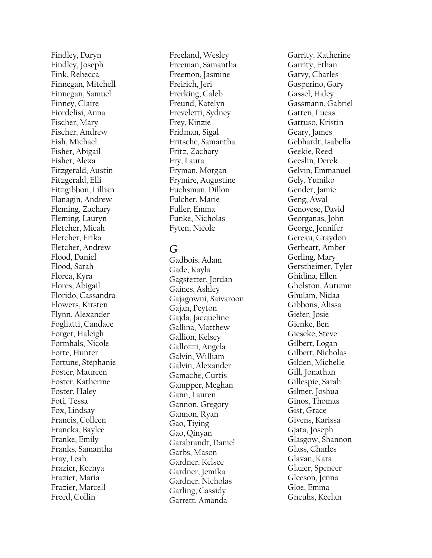Findley, Daryn Findley, Joseph Fink, Rebecca Finnegan, Mitchell Finnegan, Samuel Finney, Claire Fiordelisi, Anna Fischer, Mary Fischer, Andrew Fish, Michael Fisher, Abigail Fisher, Alexa Fitzgerald, Austin Fitzgerald, Elli Fitzgibbon, Lillian Flanagin, Andrew Fleming, Zachary Fleming, Lauryn Fletcher, Micah Fletcher, Erika Fletcher, Andrew Flood, Daniel Flood, Sarah Florea, Kyra Flores, Abigail Florido, Cassandra Flowers, Kirsten Flynn, Alexander Fogliatti, Candace Forget, Haleigh Formhals, Nicole Forte, Hunter Fortune, Stephanie Foster, Maureen Foster, Katherine Foster, Haley Foti, Tessa Fox, Lindsay Francis, Colleen Francka, Baylee Franke, Emily Franks, Samantha Fray, Leah Frazier, Keenya Frazier, Maria Frazier, Marcell Freed, Collin

Freeland, Wesley Freeman, Samantha Freemon, Jasmine Freirich, Jeri Frerking, Caleb Freund, Katelyn Freveletti, Sydney Frey, Kinzie Fridman, Sigal Fritsche, Samantha Fritz, Zachary Fry, Laura Fryman, Morgan Frymire, Augustine Fuchsman, Dillon Fulcher, Marie Fuller, Emma Funke, Nicholas Fyten, Nicole

## **G**

Gadbois, Adam Gade, Kayla Gagstetter, Jordan Gaines, Ashley Gajagowni, Saivaroon Gajan, Peyton Gajda, Jacqueline Gallina, Matthew Gallion, Kelsey Gallozzi, Angela Galvin, William Galvin, Alexander Gamache, Curtis Gampper, Meghan Gann, Lauren Gannon, Gregory Gannon, Ryan Gao, Tiying Gao, Qinyan Garabrandt, Daniel Garbs, Mason Gardner, Kelsee Gardner, Jemika Gardner, Nicholas Garling, Cassidy Garrett, Amanda

Garrity, Katherine Garrit y, Ethan Garvy, Charles Gasperino, Gary Gassel, Haley Gassmann, Gabriel Gatten, Lucas Gattuso, Kristin Geary, James Gebhardt, Isabella Geekie, Reed Geeslin, Derek Gelvin, Emmanuel Gely, Yumiko Gender, Jamie Geng, Awal Genovese, David Georganas, John George, Jennifer Gereau, Graydon Gerheart, Amber Gerling, Mary Gerstheimer, Tyler Ghidina, Ellen Gholston, Autumn Ghulam, Nidaa Gibbons, Alissa Giefer, Josie Gienke, Ben Gieseke, Steve Gilbert, Logan Gilbert, Nicholas Gilden, Michelle Gill, Jonathan Gillespie, Sarah Gilmer, Joshua Ginos, Thomas Gist, Grace Givens, Karissa Gjata, Joseph Glasgow, Shannon Glass, Charles Glavan, Kara Glazer, Spencer Gleeson, Jenna Gloe, Emma Gneuhs, Keelan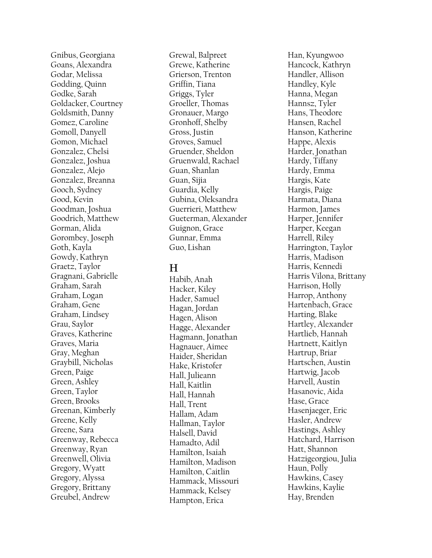Gnibus, Georgiana Goans, Alexandra Godar, Melissa Godding, Quinn Godke, Sarah Goldacker, Courtney Goldsmith, Danny Gomez, Caroline Gomoll, Danyell Gomon, Michael Gonzalez, Chelsi Gonzalez, Joshua Gonzalez, Alejo Gonzalez, Breanna Gooch, Sydney Good, Kevin Goodman, Joshua Goodrich, Matthew Gorman, Alida Gorombey, Joseph Goth, Kayla Gowdy, Kathryn Graetz, Taylor Gragnani, Gabrielle Graham, Sarah Graham, Logan Graham, Gene Graham, Lindsey Grau, Saylor Graves, Katherine Graves, Maria Gray, Meghan Graybill, Nicholas Green, Paige Green, Ashley Green, Taylor Green, Brooks Greenan, Kimberly Greene, Kelly Greene, Sara Greenway, Rebecca Greenway, Ryan Greenwell, Olivia Gregory, Wyatt Gregory, Alyssa Gregory, Brittany Greubel, Andrew

Grewal, Balpreet Grewe, Katherine Grierson, Trenton Griffin, Tiana Griggs, Tyler Groeller, Thomas Gronauer, Margo Gronhoff, Shelby Gross, Justin Groves, Samuel Gruender, Sheldon Gruenwald, Rachael Guan, Shanlan Guan, Sijia Guardia, Kelly Gubina, Oleksandra Guerrieri, Matthew Gueterman, Alexander Guignon, Grace Gunnar, Emma Guo, Lishan

### **H**

Habib, Anah Hacker, Kiley Hader, Samuel Hagan, Jordan Hagen, Alison Hagge, Alexander Hagmann, Jonathan Hagnauer, Aimee Haider, Sheridan Hake, Kristofer Hall, Julieann Hall, Kaitlin Hall, Hannah Hall, Trent Hallam, Adam Hallman, Taylor Halsell, David Hamadto, Adil Hamilton, Isaiah Hamilton, Madison Hamilton, Caitlin Hammack, Missouri Hammack, Kelsey Hampton, Erica

Han, Kyungwoo Hancock, Kathryn Handler, Allison Handley, Kyle Hanna, Megan Hannsz, Tyler Hans, Theodore Hansen, Rachel Hanson, Katherine Happe, Alexis Harder, Jonathan Hardy, Tiffany Hardy, Emma Hargis, Kate Hargis, Paige Harmata, Diana Harmon, James Harper, Jennifer Harper, Keegan Harrell, Riley Harrington, Taylor Harris, Madison Harris, Kennedi Harris Vilona, Brittany Harrison, Holly Harrop, Anthony Hartenbach, Grace Harting, Blake Hartley, Alexander Hartlieb, Hannah Hartnett, Kaitlyn Hartrup, Briar Hartschen, Austin Hartwig, Jacob Harvell, Austin Hasanovic, Aida Hase, Grace Hasenjaeger, Eric Hasler, Andrew Hastings, Ashley Hatchard, Harrison Hatt, Shannon Hatzigeorgio u, Julia Haun, Polly Hawkins, Casey Hawkins, Kaylie Hay, Brenden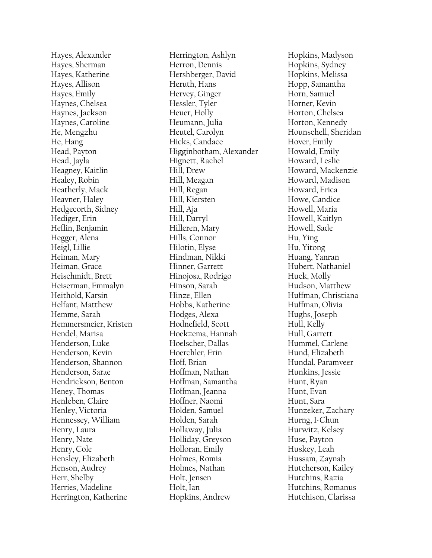Hayes, Alexander Hayes, Sherman Hayes, Katherine Hayes, Allison Hayes, Emily Haynes, Chelsea Haynes, Jackson Haynes, Caroline He, Mengzhu He, Hang Head, Payton Head, Jayla Heagney, Kaitlin Healey, Robin Heatherly, Mack Heavner, Haley Hedgecorth, Sidney Hediger, Erin Heflin, Benjamin Hegger, Alena Heigl, Lillie Heiman, Mary Heiman, Grace Heischmidt, Brett Heiserman, Emmalyn Heithold, Karsin Helfant, Matthew Hemme, Sarah Hemmersmeier, Kristen Hendel, Marisa Henderson, Luke Henderson, Kevin Henderson, Shannon Henderson, Sarae Hendrickson, Benton Heney, Thomas Henleben, Claire Henley, Victoria Hennessey, William Henry, Laura Henry, Nate Henry, Cole Hensley, Elizabeth Henson, Audrey Herr, Shelby Herries, Madeline Herrington, Katherine

Herrington, Ashlyn Herron, Dennis Hershberger, David Heruth, Hans Hervey, Ginger Hessler, Tyler Heuer, Holly Heumann, Julia Heutel, Carolyn Hicks, Candace Higginbotham, Alexander Hignett, Rachel Hill, Drew Hill, Meagan Hill, Regan Hill, Kiersten Hill, Aja Hill, Darryl Hilleren, Mary Hills, Connor Hilotin, Elyse Hindman, Nikki Hinner, Garrett Hinojosa, Rodrigo Hinson, Sarah Hinze, Ellen Hobbs, Katherine Hodges, Alexa Hodnefield, Scott Hoekzema, Hannah Hoelscher, Dallas Hoerchler, Erin Hoff, Brian Hoffman, Nathan Hoffman, Samantha Hoffman, Jeanna Hoffner, Naomi Holden, Samuel Holden, Sarah Hollaway, Julia Holliday, Greyson Holloran, Emily Holmes, Romia Holmes, Nathan Holt, Jensen Holt, Ian Hopkins, Andrew

Hopkins, Madyson Hopkins, Sydney Hopkins, Melissa Hopp, Samantha Horn, Samuel Horner, Kevin Horton, Chelsea Horton, Kennedy Hounschell, Sheridan Hover, Emily Howald, Emily Howard, Leslie Howard, Mackenzie Howard, Madison Howard, Erica Howe, Candice Howell, Maria Howell, Kaitlyn Howell, Sade Hu, Ying Hu, Yitong Huang, Yanran Hubert, Nathaniel Huck, Molly Hudson, Matthew Huffman, Christiana Huffman, Olivia Hughs, Joseph Hull, Kelly Hull, Garrett Hummel, Carlene Hund, Elizabeth Hundal, Paramveer Hunkins, Jessie Hunt, Ryan Hunt, Evan Hunt, Sara Hunzeker, Zachary Hurng, I -Chun Hurwitz, Kelsey Huse, Payton Huskey, Leah Hussam, Zaynab Hutcherson, Kailey Hutchins, Razia Hutchins, Romanus Hutchison, Clarissa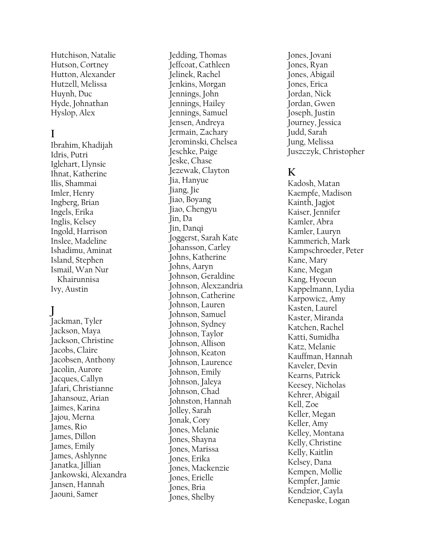Hutchison, Natalie Hutson, Cortney Hutton, Alexander Hutzell, Melissa Huynh, Duc Hyde, Johnathan Hyslop, Alex

## **I**

Ibrahim, Khadijah Idris, Putri Iglehart, Llynsie Ihnat, Katherine Ilis, Shammai Imler, Henry Ingberg, Brian Ingels, Erika Inglis, Kelsey Ingold, Harrison Inslee, Madeline Ishadimu, Aminat Island, Stephen Ismail, Wan Nur Khairunnisa Ivy, Austin

# **J**

Jackman, Tyler Jackson, Maya Jackson, Christine Jacobs, Claire Jacobsen, Anthony Jacolin, Aurore Jacques, Callyn Jafari, Christianne Jahansouz, Arian Jaimes, Karina Jajou, Merna James, Rio James, Dillon James, Emily James, Ashlynne Janatka, Jillian Jankowski, Alexandra Jansen, Hannah Jaouni, Samer

Jedding, Thomas Jeffcoat, Cathleen Jelinek, Rachel Jenkins, Morgan Jennings, John Jennings, Hailey Jennings, Samuel Jensen, Andreya Jermain, Zachary Jerominski, Chelsea Jeschke, Paige Jeske, Chase Jezewak, Clayton Jia, Hanyue Jiang, Jie Jiao, Boyang Jiao, Chengyu Jin, Da Jin, Danqi Joggerst, Sarah Kate Johansson, Carley Johns, Katherine Johns, Aaryn Johnson, Geraldine Johnson, Alexzandria Johnson, Catherine Johnson, Lauren Johnson, Samuel Johnson, Sydney Johnson, Taylor Johnson, Allison Johnson, Keaton Johnson, Laurence Johnson, Emily Johnson, Jaleya Johnson, Chad Johnston, Hannah Jolley, Sarah Jonak, Cory Jones, Melanie Jones, Shayna Jones, Marissa Jones, Erika Jones, Mackenzie Jones, Erielle Jones, Bria Jones, Shelby

Jones, Jovani Jones, Ryan Jones, Abigail Jones, Erica Jordan, Nick Jordan, Gwen Joseph, Justin Journey, Jessica Judd, Sarah Jung, Melissa Juszczyk, Christopher

# **K**

Kadosh, Matan Kaempfe, Madison Kainth, Jagjot Kaiser, Jennifer Kamler, Abra Kamler, Lauryn Kammerich, Mark Kampschroeder, Peter Kane, Mary Kane, Megan Kang, Hyoeun Kappelmann, Lydia Karpowicz, Amy Kasten, Laurel Kaster, Miranda Katchen, Rachel Katti, Sumidha Katz, Melanie Kauffman, Hannah Kaveler, Devin Kearns, Patrick Keesey, Nicholas Kehrer, Abigail Kell, Zoe Keller, Megan Keller, Amy Kelley, Montana Kelly, Christine Kelly, Kaitlin Kelsey, Dana Kempen, Mollie Kempfer, Jamie Kendzior, Cayla Kenepaske, Logan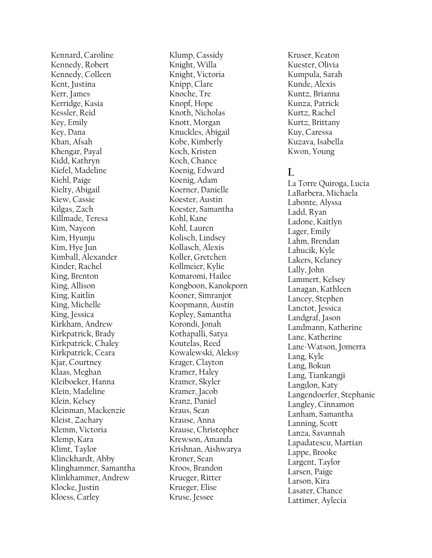Kennard, Caroline Kennedy, Robert Kennedy, Colleen Kent, Justina Kerr, James Kerridge, Kasia Kessler, Reid Key, Emily Key, Dana Khan, Afsah Khengar, Payal Kidd, Kathryn Kiefel, Madeline Kiehl, Paige Kielty, Abigail Kiew, Cassie Kilgas, Zach Killmade, Teresa Kim, Nayeon Kim, Hyunju Kim, Hye Jun Kimball, Alexander Kinder, Rachel King, Brenton King, Allison King, Kaitlin King, Michelle King, Jessica Kirkham, Andrew Kirkpatrick, Brady Kirkpatrick, Chaley Kirkpatrick, Ceara Kjar, Courtney Klaas, Meghan Kleiboeker, Hanna Klein, Madeline Klein, Kelsey Kleinman, Mackenzie Kleist, Zachary Klemm, Victoria Klemp, Kara Klimt, Taylor Klinckhardt, Abby Klinghammer, Samantha Klinkhammer, Andrew Klocke, Justin Kloess, Carley

Klump, Cassidy Knight, Willa Knight, Victoria Knipp, Clare Knoche, Tre Knopf, Hope Knoth, Nicholas Knott, Morgan Knuckles, Abigail Kobe, Kimberly Koch, Kristen Koch, Chance Koenig, Edward Koenig, Adam Koerner, Danielle Koester, Austin Koester, Samantha Kohl, Kane Kohl, Lauren Kolisch, Lindsey Kollasch, Alexis Koller, Gretchen Kollmeier, Kylie Komaromi, Hailee Kongboon, Kanokporn Kooner, Simranjot Koopmann, Austin Kopley, Samantha Korondi, Jonah Kothapalli, Satya Koutelas, Reed Kowalewski, Aleksy Krager, Clayton Kramer, Haley Kramer, Skyler Kramer, Jacob Kranz, Daniel Kraus, Sean Krause, Anna Krause, Christopher Krewson, Amanda Krishnan, Aishwarya Kroner, Sean Kroos, Brandon Krueger, Ritter Krueger, Elise Kruse, Jessee

Kruser, Keaton Kuester, Olivia Kumpula, Sarah Kunde, Alexis Kuntz, Brianna Kunza, Patrick Kurtz, Rachel Kurtz, Brittany Kuy, Caressa Kuzava, Isabella Kwon, Young

# **L**

La Torre Quiroga, Lucia LaBarbera, Michaela Labonte, Alyssa Ladd, Ryan Ladone, Kaitlyn Lager, Emily Lahm, Brendan Lahucik, Kyle Lakers, Kelaney Lally, John Lammert, Kelsey Lanagan, Kathleen Lancey, Stephen Lanctot, Jessica Landgraf, Jason Landmann, Katherine Lane, Katherine Lane -Watson, Jomerra Lang, Kyle Lang, Bokun Lang, Tiankangji Langdon, Katy Langendoerfer, Stephanie Langley, Cinnamon Lanham, Samantha Lanning, Scott Lanza, Savannah Lapadatescu, Martian Lappe, Brooke Largent, Taylor Larsen, Paige Larson, Kira Lasater, Chance Lattimer, Aylecia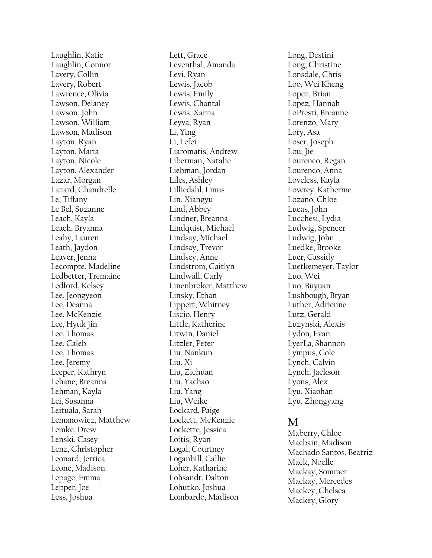Laughlin, Katie Laughlin, Connor Lavery, Collin Lavery, Robert Lawrence, Olivia Lawson, Delaney Lawson, John Lawson, William Lawson, Madison Layton, Ryan Layton, Maria Layton, Nicole Layton, Alexander Lazar, Morgan Lazard, Chandrelle Le, Tiffany Le Bel, Suzanne Leach, Kayla Leach, Bryanna Leahy, Lauren Leath, Jaydon Leaver, Jenna Lecompte, Madeline Ledbetter, Tremaine Ledford, Kelsey Lee, Jeongyeon Lee, Deanna Lee, McKenzie Lee, Hyuk Jin Lee, Thomas Lee, Caleb Lee, Thomas Lee, Jeremy Leeper, Kathryn Lehane, Breanna Lehman, Kayla Lei, Susanna Leituala, Sarah Lemanowicz, Matthew Lemke, Drew Lenski, Casey Lenz, Christopher Leonard, Jerrica Leone, Madison Lepage, Emma Lepper, Joe Less, Joshua

Lett, Grace Leventhal, Amanda Levi, Ryan Lewis, Jacob Lewis, Emily Lewis, Chantal Lewis, Xarria Leyva, Ryan Li, Ying Li, Lefei Liaromatis, Andrew Liberman, Natalie Liebman, Jordan Liles, Ashley Lilliedahl, Linus Lin, Xiangyu Lind, Abbey Lindner, Breanna Lindquist, Michael Lindsay, Michael Lindsay, Trevor Lindsey, Anne Lindstrom, Caitlyn Lindwall, Carly Linenbroker, Matthew Linsky, Ethan Lippert, Whitney Liscio, Henry Little, Katherine Litwin, Daniel Litzler, Peter Liu, Nankun Liu, Xi Liu, Zichuan Liu, Yachao Liu, Yang Liu, Weike Lockard, Paige Lockett, McKenzie Lockette, Jessica Loftis, Ryan Logal, Courtney Loganbill, Callie Loher, Katharine Lohsandt, Dalton Lohutko, Joshua Lombardo, Madison

Long, Destini Long, Christine Lonsdale, Chris Loo, Wei Kheng Lopez, Brian Lopez, Hannah LoPresti, Breanne Lorenzo, Mary Lory, Asa Loser, Joseph Lou, Jie Lourenco, Regan Lourenco, Anna Loveless, Kayla Lowrey, Katherine Lozano, Chloe Lucas, John Lucchesi, Lydia Ludwig, Spencer Ludwig, John Luedke, Brooke Luer, Cassidy Luetkemeyer, Taylor Luo, Wei Luo, Buyuan Lushbough, Bryan Luther, Adrienne Lutz, Gerald Luzynski, Alexis Lydon, Evan LyerLa, Shannon Lympus, Cole Lynch, Calvin Lynch, Jackson Lyons, Alex Lyu, Xiaohan Lyu, Zhongyang

#### **M**

Maberry, Chloe Macbain, Madison Machado Santos, Beatriz Mack, Noelle Mackay, Sommer Mackay, Mercedes Mackey, Chelsea Mackey, Glory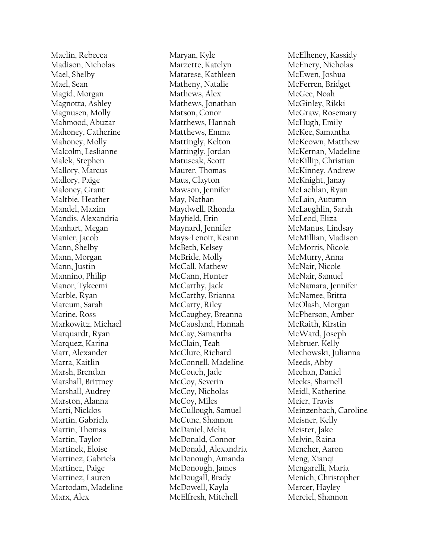Maclin, Rebecca Madison, Nicholas Mael, Shelby Mael, Sean Magid, Morgan Magnotta, Ashley Magnusen, Molly Mahmood, Abuzar Mahoney, Catherine Mahoney, Molly Malcolm, Leslianne Malek, Stephen Mallory, Marcus Mallory, Paige Maloney, Grant Maltbie, Heather Mandel, Maxim Mandis, Alexandria Manhart, Megan Manier, Jacob Mann, Shelby Mann, Morgan Mann, Justin Mannino, Philip Manor, Tykeemi Marble, Ryan Marcum, Sarah Marine, Ross Markowitz, Michael Marquardt, Ryan Marquez, Karina Marr, Alexander Marra, Kaitlin Marsh, Brendan Marshall, Brittney Marshall, Audrey Marston, Alanna Marti, Nicklos Martin, Gabriela Martin, Thomas Martin, Taylor Martinek, Eloise Martinez, Gabriela Martinez, Paige Martinez, Lauren Martodam, Madeline Marx, Alex

Maryan, Kyle Marzette, Katelyn Matarese, Kathleen Matheny, Natalie Mathews, Alex Mathews, Jonathan Matson, Conor Matthews, Hannah Matthews, Emma Mattingly, Kelton Mattingly, Jordan Matuscak, Scott Maurer, Thomas Maus, Clayton Mawson, Jennifer May, Nathan Maydwell, Rhonda Mayfield, Erin Maynard, Jennifer Mays -Lenoir, Keann McBeth, Kelsey McBride, Molly McCall, Mathew McCann, Hunter McCarthy, Jack McCarthy, Brianna McCarty, Riley McCaughey, Breanna McCausland, Hannah McCay, Samantha McClain, Teah McClure, Richard McConnell, Madeline McCouch, Jade McCoy, Severin McCoy, Nicholas McCoy, Miles McCullough, Samuel McCune, Shannon McDaniel, Melia McDonald, Connor McDonald, Alexandria McDonough, Amanda McDonough, James McDougall, Brady McDowell, Kayla McElfresh, Mitchell

McElheney, Kassidy McEnery, Nicholas McEwen, Joshua McFerren, Bridget McGee, Noah McGinley, Rikki McGraw, Rosemary McHugh, Emily McKee, Samantha McKeown, Matthew McKernan, Madeline McKillip, Christian McKinney, Andrew McKnight, Janay McLachlan, Ryan McLain, Autumn McLaughlin, Sarah McLeod, Eliza McManus, Lindsay McMillian, Madison McMorris, Nicole McMurry, Anna McNair, Nicole McNair, Samuel McNamara, Jennifer McNamee, Britta McOlash, Morgan McPherson, Amber McRaith, Kirstin McWard, Joseph Mebruer, Kelly Mechowski, Julianna Meeds, Abby Meehan, Daniel Meeks, Sharnell Meidl, Katherine Meier, Travis Meinzenbach, Caroline Meisner, Kelly Meister, Jake Melvin, Raina Mencher, Aaron Meng, Xianqi Mengarelli, Maria Menich, Christopher Mercer, Hayley Merciel, Shannon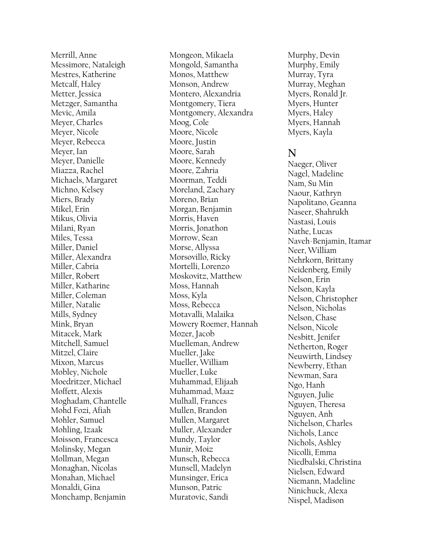Merrill, Anne Messimore, Nataleigh Mestres, Katherine Metcalf, Haley Metter, Jessica Metzger, Samantha Mevic, Amila Meyer, Charles Meyer, Nicole Meyer, Rebecca Meyer, Ian Meyer, Danielle Miazza, Rachel Michaels, Margaret Michno, Kelsey Miers, Brady Mikel, Erin Mikus, Olivia Milani, Ryan Miles, Tessa Miller, Daniel Miller, Alexandra Miller, Cabria Miller, Robert Miller, Katharine Miller, Coleman Miller, Natalie Mills, Sydney Mink, Bryan Mitacek, Mark Mitchell, Samuel Mitzel, Claire Mixon, Marcus Mobley, Nichole Moedritzer, Michael Moffett, Alexis Moghadam, Chantelle Mohd Fozi, Afiah Mohler, Samuel Mohling, Izaak Moisson, Francesca Molinsky, Megan Mollman, Megan Monaghan, Nicolas Monahan, Michael Monaldi, Gina Monchamp, Benjamin

Mongeon, Mikaela Mongold, Samantha Monos, Matthew Monson, Andrew Montero, Alexandria Montgomery, Tiera Montgomery, Alexandra Moog, Cole Moore, Nicole Moore, Justin Moore, Sarah Moore, Kennedy Moore , Zahria Moorman, Teddi Moreland, Zachary Moreno, Brian Morgan, Benjamin Morris, Haven Morris, Jonathon Morrow, Sean Morse, Allyssa Morsovillo, Ricky Mortelli, Lorenzo Moskovitz, Matthew Moss, Hannah Moss, Kyla Moss, Rebecca Motavalli, Malaika Mowery Roemer, Hannah Mozer, Jacob Muelleman, Andrew Mueller, Jake Mueller, William Mueller, Luke Muhammad, Elijaah Muhammad, Maaz Mulhall, Frances Mullen, Brandon Mullen, Margaret Muller, Alexander Mundy, Taylor Munir, Moiz Munsch, Rebecca Munsell, Madelyn Munsinger, Erica Munson, Patric Muratovic, Sandi

Murphy, Devin Murphy, Emily Murray, Tyra Murray, Meghan Myers, Ronald Jr. Myers, Hunter Myers, Haley Myers, Hannah Myers, Kayla

#### **N**

Naeger, Oliver Nagel, Madeline Nam, Su Min Naour, Kathryn Napolitano, Geanna Naseer, Shahrukh Nastasi, Louis Nathe, Lucas Naveh -Benjamin, Itamar Neer, William Nehrkorn, Brittany Neidenberg, Emily Nelson, Erin Nelson, Kayla Nelson, Christopher Nelson, Nicholas Nelson, Chase Nelson, Nicole Nesbitt, Jenifer Netherton, Roger Neuwirth, Lindsey Newberry, Ethan Newman, Sara Ngo, Hanh Nguyen, Julie Nguyen, Theresa Nguyen, Anh Nichelson, Charles Nichols, Lance Nichols, Ashley Nicolli, Emma Niedbalski, Christina Nielsen, Edward Niemann, Madeline Ninichuck, Alexa Nispel, Madison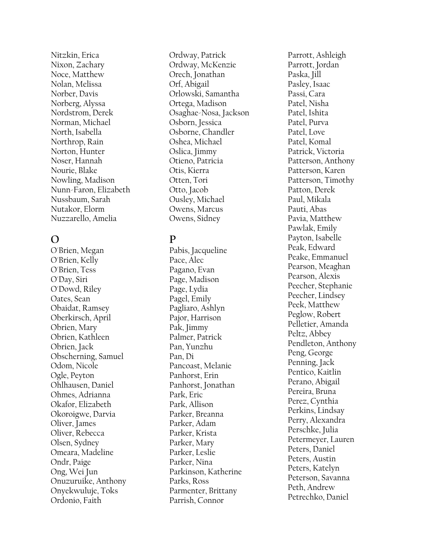Nitzkin, Erica Nixon, Zachary Noce, Matthew Nolan, Melissa Norber, Davis Norberg, Alyssa Nordstrom, Derek Norman, Michael North, Isabella Northrop, Rain Norton, Hunter Noser, Hannah Nourie, Blake Nowling, Madison Nunn -Faron, Elizabeth Nussbaum, Sarah Nutakor, Elorm Nuzzarello, Amelia

#### **O**

O'Brien, Megan O'Brien, Kelly O'Brien, Tess O'Day, Siri O'Dowd, Riley Oates, Sean Obaidat, Ramsey Oberkirsch, April Obrien, Mary Obrien, Kathleen Obrien, Jack Obscherning, Samuel Odom, Nicole Ogle, Peyton Ohlhausen, Daniel Ohmes, Adrianna Okafor, Elizabeth Okoroigwe, Darvia Oliver, James Oliver, Rebecca Olsen, Sydney Omeara, Madeline Ondr, Paige Ong, Wei Jun Onuzuruike, Anthony Onyekwuluje, Toks Ordonio, Faith

Ordway, Patrick Ordway, McKenzie Orech, Jonathan Orf, Abigail Orlowski, Samantha Ortega, Madison Osaghae -Nosa, Jackson Osborn, Jessica Osborne, Chandler Oshea, Michael Oslica, Jimmy Otieno, Patricia Otis, Kierra Otten, Tori Otto, Jacob Ousley, Michael Owens, Marcus Owens, Sidney

# **P**

Pabis, Jacqueline Pace, Alec Pagano, Evan Page, Madison Page, Lydia Pagel, Emily Pagliaro, Ashlyn Pajor, Harrison Pak, Jimmy Palmer, Patrick Pan, Yunzhu Pan, Di Pancoast, Melanie Panhorst, Erin Panhorst, Jonathan Park, Eric Park, Allison Parker, Breanna Parker, Adam Parker, Krista Parker, Mary Parker, Leslie Parker, Nina Parkinson, Katherine Parks, Ross Parmenter, Brittany Parrish, Connor

Parrott, Ashleigh Parrott, Jordan Paska, Jill Pasley, Isaac Passi, Cara Patel, Nisha Patel, Ishita Patel, Purva Patel, Love Patel, Komal Patrick, Victoria Patterson, Anthony Patterson, Karen Patterson, Timothy Patton, Derek Paul, Mikala Pauti, Abas Pavia, Matthew Pawlak, Emily Payton, Isabelle Peak, Edward Peake, Emmanuel Pearson, Meaghan Pearson, Alexis Peecher, Stephanie Peecher, Lindsey Peek, Matthew Peglow, Robert Pelletie r, Amanda Peltz, Abbey Pendleton, Anthony Peng, George Penning, Jack Pentico, Kaitlin Perano, Abigail Pereira, Bruna Perez, Cynthia Perkins, Lindsay Perry, Alexandra Perschke, Julia Petermeyer, Lauren Peters, Daniel Peters, Austin Peters, Katelyn Peterson, Savanna Peth, Andrew Petrechko, Daniel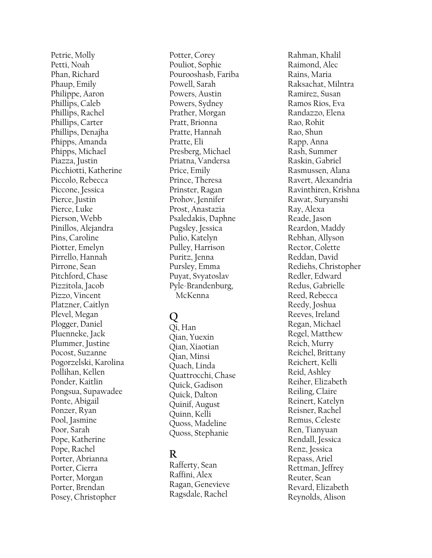Petrie, Molly Petti, Noah Phan, Richard Phaup, Emily Philippe, Aaron Phillips, Caleb Phillips, Rachel Phillips, Carter Phillips, Denajha Phipps, Amanda Phipps, Michael Piazza, Justin Picchiotti, Katherine Piccolo, Rebecca Piccone, Jessica Pierce, Justin Pierce, Luke Pierson, Webb Pinillos, Alejandra Pins, Caroline Piotter, Emelyn Pirrello, Hannah Pirrone, Sean Pitchford, Chase Pizzitola, Jacob Pizzo, Vincent Platzner, Caitlyn Plevel, Megan Plogger, Daniel Pluenneke, Jack Plummer, Justine Pocost, Suzanne Pogorzelski, Karolina Pollihan, Kellen Ponder, Kaitlin Pongsua, Supawadee Ponte, Abigail Ponzer, Ryan Pool, Jasmine Poor, Sarah Pope, Katherine Pope, Rachel Porter, Abrianna Porter, Cierra Porter, Morgan Porter, Brendan Posey, Christopher

Potter, Corey Pouliot, Sophie Pourooshasb, Fariba Powell, Sarah Powers, Austin Powers, Sydney Prather, Morgan Pratt, Brionna Pratte, Hannah Pratte, Eli Presberg, Michael Priatna, Vandersa Price, Emily Prince, Theresa Prinster, Ragan Prohov, Jennifer Prost, Anastazia Psaledakis, Daphne Pugsley, Jessica Pulio, Katelyn Pulley, Harrison Puritz, Jenna Pursley, Emma Puyat, Svyatoslav Pyle -Brandenburg, McKenna

# **Q**

Qi, Han Qian, Yuexin Qian, Xiaotian Qian, Minsi Quach, Linda Quattrocchi, Chase Quick, Gadison Quick, Dalton Quinif, August Quinn, Kelli Quoss, Madeline Quoss, Stephanie

# **R**

Rafferty, Sean Raffini, Alex Ragan, Genevieve Ragsdale, Rachel

Rahman, Khalil Raimond, Alec Rains, Maria Raksachat, Milntra Ramirez, Susan Ramos Rios, Eva Randazzo, Elena Rao, Rohit Rao, Shun Rapp, Anna Rash, Summer Raskin, Gabriel Rasmussen, Alana Ravert, Alexandria Ravinthiren, Krishna Rawat, Suryanshi Ray, Alexa Reade, Jason Reardon, Maddy Rebhan, Allyson Rector, Colette Reddan, David Rediehs, Christopher Redler, Edward Redus, Gabrielle Reed, Rebecca Reedy, Joshua Reeves, Ireland Regan, Michael Regel, Matthew Reich, Murry Reichel, Brittany Reichert, Kelli Reid, Ashley Reiher, Elizabeth Reiling, Claire Reinert, Katelyn Reisner, Rachel Remus, Celeste Ren, Tianyuan Rendall, Jessica Renz, Jessica Repass, Ariel Rettman, Jeffrey Reuter, Sean Revard, Elizabeth Reynolds, Alison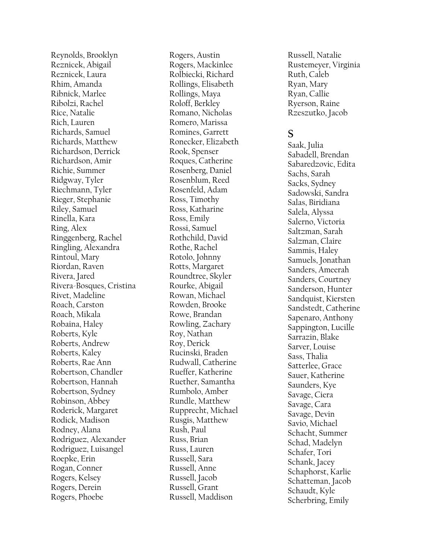Reynolds, Brooklyn Reznicek, Abigail Reznicek, Laura Rhim, Amanda Ribnick, Marlee Ribolzi, Rachel Rice, Natalie Rich, Lauren Richards, Samuel Richards, Matthew Richardson, Derrick Richardson, Amir Richie, Summer Ridgway, Tyler Riechmann, Tyler Rieger, Stephanie Riley, Samuel Rinella, Kara Ring, Alex Ringgenberg, Rachel Ringling, Alexandra Rintoul, Mary Riordan, Raven Rivera, Jared Rivera -Bosques, Cristina Rivet, Madeline Roach, Carston Roach, Mikala Robaina, Haley Roberts, Kyle Roberts, Andrew Roberts, Kaley Roberts, Rae Ann Robertson, Chandler Robertson, Hannah Robertson, Sydney Robinson, Abbey Roderick, Margaret Rodick, Madison Rodney, Alana Rodriguez, Alexander Rodriguez, Luisangel Roepke, Erin Rogan, Conner Rogers, Kelsey Rogers, Derein Rogers, Phoebe

Rogers, Austin Rogers, Mackinlee Rolbiecki, Richard Rollings, Elisabeth Rollings, Maya Roloff, Berkley Romano, Nicholas Romero, Marissa Romines, Garrett Ronecker, Elizabeth Rook, Spenser Roques, Catherine Rosenberg, Daniel Rosenblum, Reed Rosenfeld, Adam Ross, Timothy Ross, Katharine Ross, Emily Rossi, Samuel Rothchild, David Rothe, Rachel Rotolo, Johnny Rotts, Margaret Roundtree, Skyler Rourke, Abigail Rowan, Michael Rowden, Brooke Rowe, Brandan Rowling, Zachary Roy, Nathan Roy, Derick Rucinski, Braden Rudwall, Catherine Rueffer, Katherine Ruether, Samantha Rumbolo, Amber Rundle, Matthew Rupprecht, Michael Rusgis, Matthew Rush, Paul Russ, Brian Russ, Lauren Russell, Sara Russell, Anne Russell, Jacob Russell, Grant Russell, Maddison

Russell, Natalie Rustemeyer, Virginia Ruth, Caleb Ryan, Mary Ryan, Callie Ryerson, Raine Rzeszutko, Jacob

#### **S**

Saak, Julia Sabadell, Brendan Sabaredzovic, Edita Sachs, Sarah Sacks, Sydney Sadowski, Sandra Salas, Biridiana Salela, Alyssa Salerno, Victoria Saltzman, Sarah Salzman, Claire Sammis, Haley Samuels, Jonathan Sanders, Ameerah Sanders, Courtney Sanderson, Hunter Sandquist, Kiersten Sandstedt, Catherine Sapenaro, Anthony Sappington, Lucille Sarrazin, Blake Sarver, Louise Sass, Thalia Satterlee, Grace Sauer, Katherine Saunders, Kye Savage, Ciera Savage, Cara Savage, Devin Savio, Michael Schacht, Summer Schad, Madelyn Schafer, Tori Schank, Jacey Schaphorst, Karlie Schatteman, Jacob Schaudt, Kyle Scherbring, Emily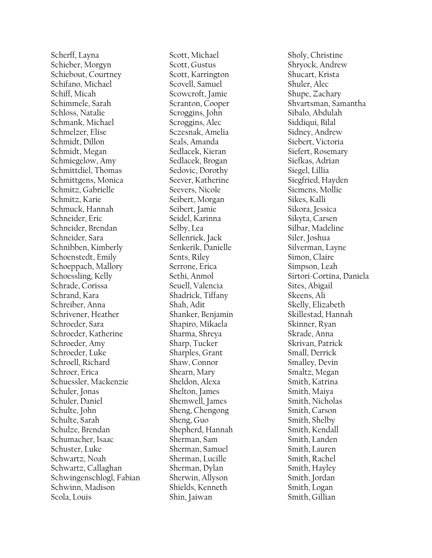Scherff, Layna Schieber, Morgyn Schiebout, Courtney Schifano, Michael Schiff, Micah Schimmele, Sarah Schloss, Natalie Schmank, Michael Schmelzer, Elise Schmidt, Dillon Schmidt, Megan Schmiegelow, Amy Schmittdiel, Thomas Schmittgens, Monica Schmitz, Gabrielle Schmitz, Karie Schmuck, Hannah Schneider, Eric Schneider, Brendan Schneider, Sara Schnibben, Kimberly Schoenstedt, Emily Schoeppach, Mallory Schoessling, Kelly Schrade, Corissa Schrand, Kara Schreiber, Anna Schrivener, Heather Schroeder, Sara Schroeder, Katherine Schroeder, Amy Schroeder, Luke Schroell, Richard Schroer, Erica Schuessler, Mackenzie Schuler, Jonas Schuler, Daniel Schulte, John Schulte, Sarah Schulze, Brendan Schumacher, Isaac Schuster, Luke Schwartz, Noah Schwartz, Callaghan Schwingenschlogl, Fabian Schwinn, Madison Scola, Louis

Scott, Michael Scott, Gustus Scott, Karrington Scovell, Samuel Scowcroft, Jamie Scranton, Cooper Scroggins, John Scroggins, Alec Sczesnak, Amelia Seals, Amanda Sedlacek, Kieran Sedlacek, Brogan Sedovic, Dorothy Seever, Katherine Seevers, Nicole Seibert, Morgan Seibert, Jamie Seidel, Karinna Selby, Lea Sellenriek, Jack Senkerik, Danielle Sents, Riley Serrone, Erica Sethi, Anmol Seuell, Valencia Shadrick, Tiffany Shah, Adit Shanker, Benjamin Shapiro, Mikaela Sharma, Shreya Sharp, Tucker Sharples, Grant Shaw, Connor Shearn, Mary Sheldon, Alexa Shelton, James Shemwell, James Sheng, Chengong Sheng, Guo Shepherd, Hannah Sherman, Sam Sherman, Samuel Sherman, Lucille Sherman, Dylan Sherwin, Allyson Shields, Kenneth Shin, Jaiwan

Sholy, Christine Shryock, Andrew Shucart, Krista Shuler, Alec Shupe, Zachary Shvartsman, Samantha Sibalo, Abdulah Siddiqui, Bilal Sidney, Andrew Siebert, Victoria Siefert, Rosemary Siefkas, Adrian Siegel, Lillia Siegfried, Hayden Siemens, Mollie Sikes, Kalli Sikora, Jessica Sikyta, Carsen Silbar, Madeline Siler, Joshua Silverman, Layne Simon, Claire Simpson, Leah Sirtori -Cortina, Daniela Sites, Abigail Skeens, Ali Skelly, Elizabeth Skillestad, Hannah Skinner, Ryan Skrade, Anna Skrivan, Patrick Small, Derrick Smalley, Devin Smaltz, Megan Smith, Katrina Smith, Maiya Smith, Nicholas Smith, Carson Smith, Shelby Smith, Kendall Smith, Landen Smith, Lauren Smith, Rachel Smith, Hayley Smith, Jordan Smith, Logan Smith, Gillian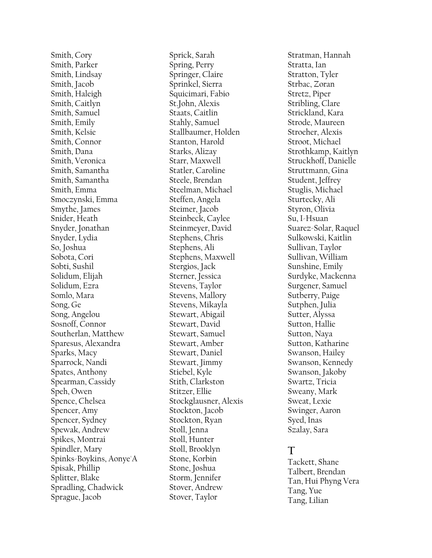Smith, Cory Smith, Parker Smith, Lindsay Smith, Jacob Smith, Haleigh Smith, Caitlyn Smith, Samuel Smith, Emily Smith, Kelsie Smith, Connor Smith, Dana Smith, Veronica Smith, Samantha Smith, Samantha Smith, Emma Smoczynski, Emma Smythe, James Snider, Heath Snyder, Jonathan Snyder, Lydia So, Joshua Sobota, Cori Sobti, Sushil Solidum, Elijah Solidum, Ezra Somlo, Mara Song, Ge Song, Angelou Sosnoff, Connor Southerlan, Matthew Sparesus, Alexandra Sparks, Macy Sparrock, Nandi Spates, Anthony Spearman, Cassidy Speh, Owen Spence, Chelsea Spencer, Amy Spencer, Sydney Spewak, Andrew Spikes, Montrai Spindler, Mary Spinks -Boykins, Aonye'A Spisak, Phillip Splitter, Blake Spradling, Chadwick Sprague, Jacob

Sprick, Sarah Spring, Perry Springer, Claire Sprinkel, Sierra Squicimari, Fabio St.John, Alexis Staats, Caitlin Stahly, Samuel Stallbaumer, Holden Stanton, Harold Starks, Alizay Starr, Maxwell Statler, Caroline Steele, Brendan Steelman, Michael Steffen, Angela Steimer, Jacob Steinbeck, Caylee Steinmeyer, David Stephens, Chris Stephens, Ali Stephens, Maxwell Stergios, Jack Sterner, Jessica Stevens, Taylor Stevens, Mallory Stevens, Mikayla Stewart, Abigail Stewart, David Stewart, Samuel Stewart, Amber Stewart, Daniel Stewart, Jimmy Stiebel, Kyle Stith, Clarkston Stitzer, Ellie Stockglausner, Alexis Stockton, Jacob Stockton, Ryan Stoll, Jenna Stoll, Hunter Stoll, Brooklyn Stone, Korbin Stone, Joshua Storm, Jennifer Stover, Andrew Stover, Taylor

Stratman, Hannah Stratta, Ian Stratton, Tyler Strbac, Zoran Stretz, Piper Stribling, Clare Strickland, Kara Strode, Maureen Stroeher, Alexis Stroot, Michael Strothkamp, Kaitlyn Struckhoff, Danielle Struttmann, Gina Student, Jeffrey Stuglis, Michael Sturtecky, Ali Styron, Olivia Su, I-Hsuan Suarez -Solar, Raque l Sulkowski, Kaitlin Sullivan, Taylor Sullivan, William Sunshine, Emily Surdyke, Mackenna Surgener, Samuel Sutberry, Paige Sutphen, Julia Sutter, Alyssa Sutton, Hallie Sutton, Naya Sutton, Katharine Swanson, Hailey Swanson, Kennedy Swanson, Jakoby Swartz, Tricia Sweany, Mark Sweat, Lexie Swinger, Aaron Syed, Inas Szalay, Sara

# **T**

Tackett, Shane Talbert, Brendan Tan, Hui Phyng Vera Tang, Yue Tang, Lilian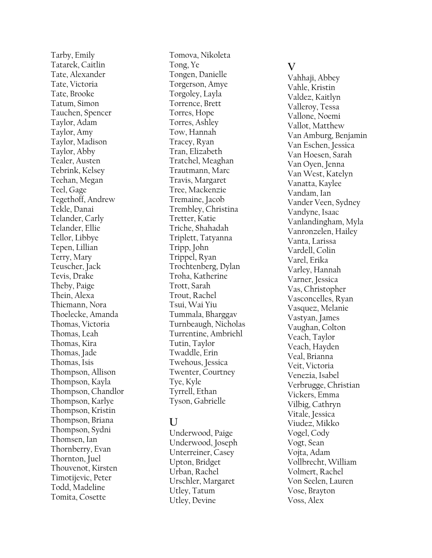Tarby, Emily Tatarek, Caitlin Tate, Alexander Tate, Victoria Tate, Brooke Tatum, Simon Tauchen, Spencer Taylor, Adam Taylor, Amy Taylor, Madison Taylor, Abby Tealer, Austen Tebrink, Kelsey Teehan, Megan Teel, Gage Tegethoff, Andrew Tekle, Danai Telander, Carly Telander, Ellie Tellor, Libbye Tepen, Lillian Terry, Mary Teuscher, Jack Tevis, Drake Theby, Paige Thein, Alexa Thiemann, Nora Thoelecke, Amanda Thomas, Victoria Thomas, Leah Thomas, Kira Thomas, Jade Thomas, Isis Thompson, Allison Thompson, Kayla Thompson, Chandlor Thompson, Karlye Thompson, Kristin Thompson, Briana Thompson, Sydni Thomsen, Ian Thornberry, Evan Thornton, Juel Thouvenot, Kirsten Timotijevic, Peter Todd, Madeline Tomita, Cosette

Tomova, Nikoleta Tong, Ye Tongen, Danielle Torgerson, Amye Torgoley, Layla Torrence, Brett Torres, Hope Torres, Ashley Tow, Hannah Tracey, Ryan Tran, Elizabeth Tratchel, Meaghan Trautmann, Marc Travis, Margaret Tree, Mackenzie Tremaine, Jacob Trembley, Christina Tretter, Katie Triche, Shahadah Triplett, Tatyanna Tripp, John Trippel, Ryan Trochtenberg, Dylan Troha, Katherine Trott, Sarah Trout, Rachel Tsui, Wai Yiu Tummala, Bharggav Turnbeaugh, Nicholas Turrentine, Ambriehl Tutin, Taylor Twaddle, Erin Twehous, Jessica Twenter, Courtney Tye, Kyle Tyrrell, Ethan Tyson, Gabrielle

#### **U**

Underwood, Paige Underwood, Joseph Unterreiner, Casey Upton, Bridget Urban, Rachel Urschler, Margaret Utley, Tatum Utley, Devine

#### **V**

Vahhaji, Abbey Vahle, Kristin Valdez, Kaitlyn Valleroy, Tessa Vallone, Noemi Vallot, Matthew Van Amburg, Benjamin Van Eschen, Jessica Van Hoesen, Sarah Van Oyen, Jenna Van West, Katelyn Vanatta, Kaylee Vandam, Ian Vander Veen, Sydney Vandyne, Isaac Vanlandingham, Myla Vanronzelen, Hailey Vanta, Larissa Vardell, Colin Varel, Erika Varley, Hannah Varner, Jessica Vas, Christopher Vasconcelles, Ryan Vasquez, Melanie Vastyan, James Vaughan, Colton Veach, Taylor Veach, Hayden Veal, Brianna Veit, Victoria Venezia, Isabel Verbrugge, Christian Vickers, Emma Vilbig, Cathryn Vitale, Jessica Viudez, Mikko Vogel, Cody Vogt, Sean Vojta, Adam Vollbrecht, William Volmert, Rachel Von Seelen, Lauren Vose, Brayton Voss, Alex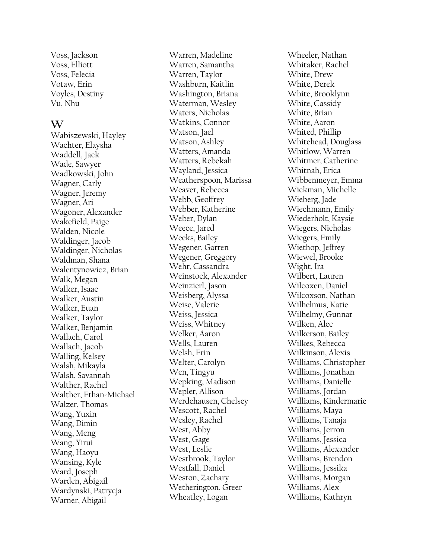Voss, Jackson Voss, Elliott Voss, Felecia Votaw, Erin Voyles, Destiny Vu, Nhu

#### **W**

Wabiszewski, Hayley Wachter, Elaysha Waddell, Jack Wade, Sawyer Wadkowski, John Wagner, Carly Wagner, Jeremy Wagner, Ari Wagoner, Alexander Wakefield, Paige Walden, Nicole Waldinger, Jacob Waldinger, Nicholas Waldman, Shana Walentynowicz, Brian Walk, Megan Walker, Isaac Walker, Austin Walker, Euan Walker, Taylor Walker, Benjamin Wallach, Carol Wallach, Jacob Walling, Kelsey Walsh, Mikayla Walsh, Savannah Walther, Rachel Walther, Ethan -Michael Walzer, Thomas Wang, Yuxin Wang, Dimin Wang, Meng Wang, Yirui Wang, Haoyu Wansing, Kyle Ward, Joseph Warden, Abigail Wardynski, Patrycja Warner, Abigail

Warren, Madeline Warren, Samantha Warren, Taylor Washburn, Kaitlin Washington, Briana Waterman, Wesley Waters, Nicholas Watkins, Connor Watson, Jael Watson, Ashley Watters, Amanda Watters, Rebekah Wayland, Jessica Weatherspoon, Marissa Weaver, Rebecca Webb, Geoffrey Webber, Katherine Weber, Dylan Weece, Jared Weeks, Bailey Wegener, Garren Wegener, Greggory Wehr, Cassandra Weinstock, Alexander Weinzierl, Jason Weisberg, Alyssa Weise, Valerie Weiss, Jessica Weiss, Whitney Welker, Aaron Wells, Lauren Welsh, Erin Welter, Carolyn Wen, Tingyu Wepking, Madison Wepler, Allison Werdehausen, Chelsey Wescott, Rachel Wesley, Rachel West, Abby West, Gage West, Leslie Westbrook, Taylor Westfall, Daniel Weston, Zachary Wetherington, Greer Wheatley, Logan

Wheeler, Nathan Whitaker, Rachel White, Drew White, Derek White, Brooklynn White, Cassidy White, Brian White, Aaron Whited, Phillip Whitehead, Douglass Whitlow, Warren Whitmer, Catherine Whitnah, Erica Wibbenmeyer, Emma Wickman, Michelle Wieberg, Jade Wiechmann, Emily Wiederholt, Kaysie Wiegers, Nicholas Wiegers, Emily Wiethop, Jeffrey Wiewel, Brooke Wight, Ira Wilbert, Lauren Wilcoxen, Daniel Wilcoxson, Nathan Wilhelmus, Katie Wilhelmy, Gunnar Wilken, Alec Wilkerson, Bailey Wilkes, Rebecca Wilkinson, Alexis Williams, Christopher Williams, Jonathan Williams, Danielle Williams, Jordan Williams, Kindermarie Williams, Maya Williams, Tanaja Williams, Jerron Williams, Jessica Williams, Alexander Williams, Brendon Williams, Jessika Williams, Morgan Williams, Alex Williams, Kathryn